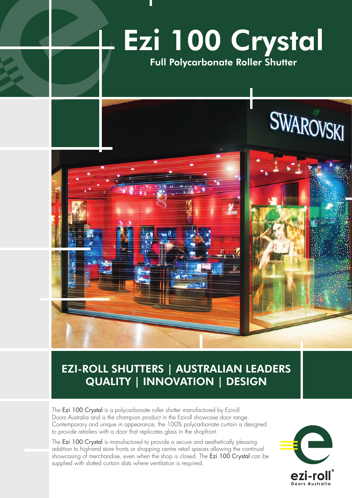

# EZI-ROLL SHUTTERS | AUSTRALIAN LEADERS QUALITY | INNOVATION | DESIGN

The Ezi 100 Crystal is a polycarbonate roller shutter manufactured by Eziroll Doors Australia and is the champion product in the Eziroll showcase door range. Contemporary and unique in appearance, the 100% polycarbonate curtain is designed to provide retailers with a door that replicates glass in the shopfront.

The Ezi 100 Crystal is manufactured to provide a secure and aesthetically pleasing addition to high-end store fronts or shopping centre retail spaces allowing the continual showcasing of merchandise, even when the shop is closed. The Ezi 100 Crystal can be supplied with slotted curtain slats where ventilation is required.